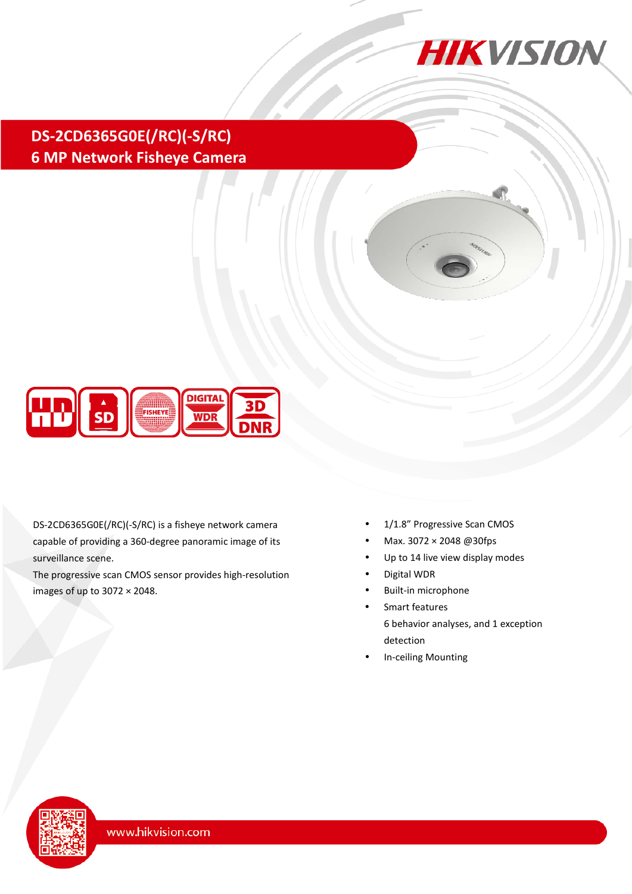

# **DS-2CD6365G0E(/RC)(-S/RC) 6 MP Network Fisheye Camera**



DS-2CD6365G0E(/RC)(-S/RC) is a fisheye network camera capable of providing a 360-degree panoramic image of its surveillance scene.

The progressive scan CMOS sensor provides high-resolution images of up to 3072 × 2048.

- 1/1.8" Progressive Scan CMOS
- Max. 3072 × 2048 @30fps
- Up to 14 live view display modes
- Digital WDR
- Built-in microphone
- Smart features 6 behavior analyses, and 1 exception detection
- In-ceiling Mounting

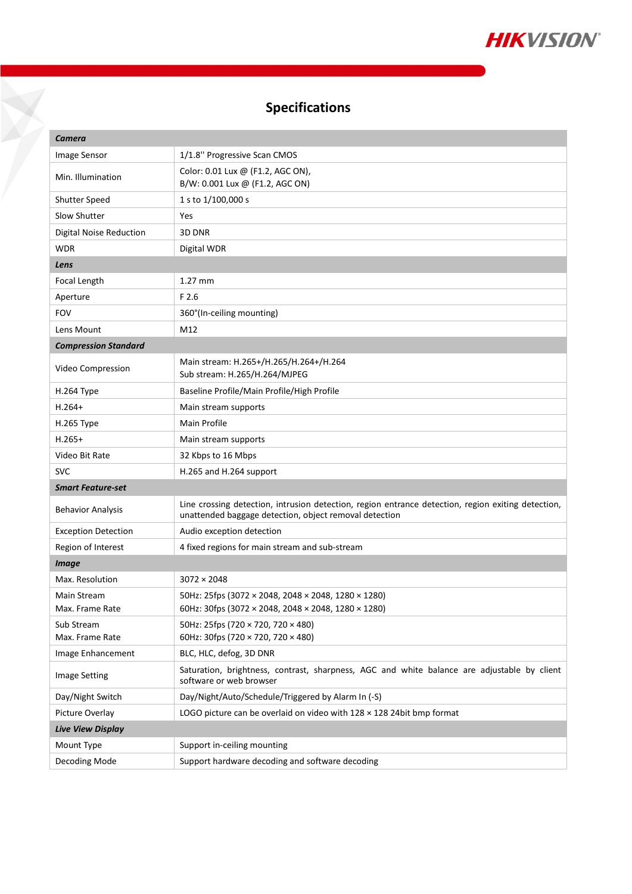

# **Specifications**

| Camera                         |                                                                                                                                                              |  |  |  |
|--------------------------------|--------------------------------------------------------------------------------------------------------------------------------------------------------------|--|--|--|
| Image Sensor                   | 1/1.8" Progressive Scan CMOS                                                                                                                                 |  |  |  |
| Min. Illumination              | Color: 0.01 Lux @ (F1.2, AGC ON),<br>B/W: 0.001 Lux @ (F1.2, AGC ON)                                                                                         |  |  |  |
| <b>Shutter Speed</b>           | 1 s to 1/100,000 s                                                                                                                                           |  |  |  |
| <b>Slow Shutter</b>            | Yes                                                                                                                                                          |  |  |  |
| <b>Digital Noise Reduction</b> | 3D DNR                                                                                                                                                       |  |  |  |
| WDR                            | Digital WDR                                                                                                                                                  |  |  |  |
| Lens                           |                                                                                                                                                              |  |  |  |
| Focal Length                   | $1.27$ mm                                                                                                                                                    |  |  |  |
| Aperture                       | F 2.6                                                                                                                                                        |  |  |  |
| <b>FOV</b>                     | 360°(In-ceiling mounting)                                                                                                                                    |  |  |  |
| Lens Mount                     | M12                                                                                                                                                          |  |  |  |
| <b>Compression Standard</b>    |                                                                                                                                                              |  |  |  |
| Video Compression              | Main stream: H.265+/H.265/H.264+/H.264<br>Sub stream: H.265/H.264/MJPEG                                                                                      |  |  |  |
| Н.264 Туре                     | Baseline Profile/Main Profile/High Profile                                                                                                                   |  |  |  |
| $H.264+$                       | Main stream supports                                                                                                                                         |  |  |  |
| H.265 Type                     | Main Profile                                                                                                                                                 |  |  |  |
| $H.265+$                       | Main stream supports                                                                                                                                         |  |  |  |
| Video Bit Rate                 | 32 Kbps to 16 Mbps                                                                                                                                           |  |  |  |
| <b>SVC</b>                     | H.265 and H.264 support                                                                                                                                      |  |  |  |
| <b>Smart Feature-set</b>       |                                                                                                                                                              |  |  |  |
| <b>Behavior Analysis</b>       | Line crossing detection, intrusion detection, region entrance detection, region exiting detection,<br>unattended baggage detection, object removal detection |  |  |  |
| <b>Exception Detection</b>     | Audio exception detection                                                                                                                                    |  |  |  |
| Region of Interest             | 4 fixed regions for main stream and sub-stream                                                                                                               |  |  |  |
| <b>Image</b>                   |                                                                                                                                                              |  |  |  |
| Max. Resolution                | $3072 \times 2048$                                                                                                                                           |  |  |  |
| Main Stream<br>Max. Frame Rate | 50Hz: 25fps (3072 × 2048, 2048 × 2048, 1280 × 1280)<br>60Hz: 30fps (3072 × 2048, 2048 × 2048, 1280 × 1280)                                                   |  |  |  |
| Sub Stream<br>Max. Frame Rate  | 50Hz: 25fps (720 × 720, 720 × 480)<br>60Hz: 30fps (720 × 720, 720 × 480)                                                                                     |  |  |  |
| Image Enhancement              | BLC, HLC, defog, 3D DNR                                                                                                                                      |  |  |  |
| Image Setting                  | Saturation, brightness, contrast, sharpness, AGC and white balance are adjustable by client<br>software or web browser                                       |  |  |  |
| Day/Night Switch               | Day/Night/Auto/Schedule/Triggered by Alarm In (-S)                                                                                                           |  |  |  |
| Picture Overlay                | LOGO picture can be overlaid on video with $128 \times 128$ 24bit bmp format                                                                                 |  |  |  |
| <b>Live View Display</b>       |                                                                                                                                                              |  |  |  |
| Mount Type                     | Support in-ceiling mounting                                                                                                                                  |  |  |  |
| Decoding Mode                  | Support hardware decoding and software decoding                                                                                                              |  |  |  |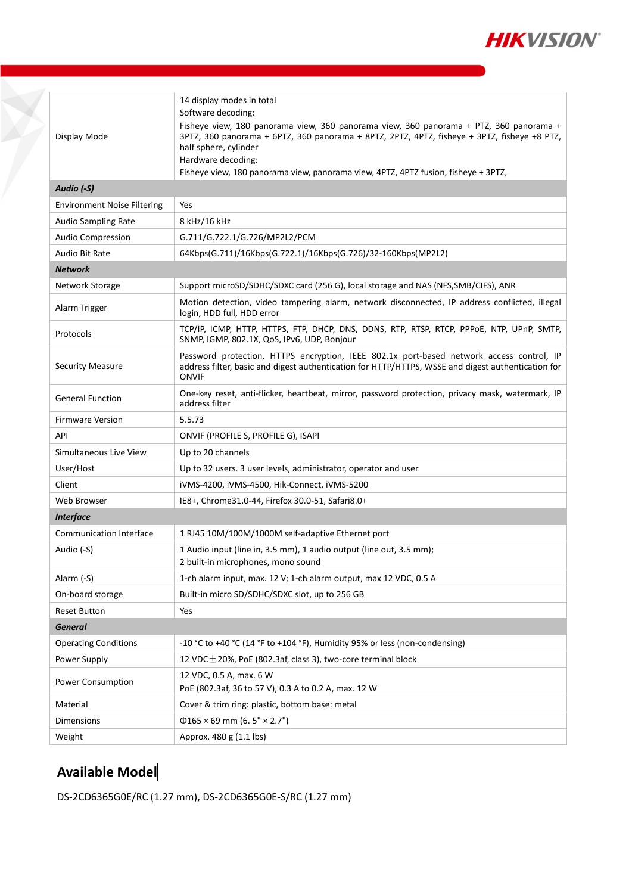

| Display Mode<br>Audio (-S)         | 14 display modes in total<br>Software decoding:<br>Fisheye view, 180 panorama view, 360 panorama view, 360 panorama + PTZ, 360 panorama +<br>3PTZ, 360 panorama + 6PTZ, 360 panorama + 8PTZ, 2PTZ, 4PTZ, fisheye + 3PTZ, fisheye +8 PTZ,<br>half sphere, cylinder<br>Hardware decoding:<br>Fisheye view, 180 panorama view, panorama view, 4PTZ, 4PTZ fusion, fisheye + 3PTZ, |  |  |  |  |
|------------------------------------|-------------------------------------------------------------------------------------------------------------------------------------------------------------------------------------------------------------------------------------------------------------------------------------------------------------------------------------------------------------------------------|--|--|--|--|
| <b>Environment Noise Filtering</b> | Yes                                                                                                                                                                                                                                                                                                                                                                           |  |  |  |  |
| <b>Audio Sampling Rate</b>         | 8 kHz/16 kHz                                                                                                                                                                                                                                                                                                                                                                  |  |  |  |  |
| <b>Audio Compression</b>           | G.711/G.722.1/G.726/MP2L2/PCM                                                                                                                                                                                                                                                                                                                                                 |  |  |  |  |
| Audio Bit Rate                     | 64Kbps(G.711)/16Kbps(G.722.1)/16Kbps(G.726)/32-160Kbps(MP2L2)                                                                                                                                                                                                                                                                                                                 |  |  |  |  |
| <b>Network</b>                     |                                                                                                                                                                                                                                                                                                                                                                               |  |  |  |  |
| Network Storage                    | Support microSD/SDHC/SDXC card (256 G), local storage and NAS (NFS, SMB/CIFS), ANR                                                                                                                                                                                                                                                                                            |  |  |  |  |
| Alarm Trigger                      | Motion detection, video tampering alarm, network disconnected, IP address conflicted, illegal<br>login, HDD full, HDD error                                                                                                                                                                                                                                                   |  |  |  |  |
| Protocols                          | TCP/IP, ICMP, HTTP, HTTPS, FTP, DHCP, DNS, DDNS, RTP, RTSP, RTCP, PPPOE, NTP, UPnP, SMTP,<br>SNMP, IGMP, 802.1X, QoS, IPv6, UDP, Bonjour                                                                                                                                                                                                                                      |  |  |  |  |
| <b>Security Measure</b>            | Password protection, HTTPS encryption, IEEE 802.1x port-based network access control, IP<br>address filter, basic and digest authentication for HTTP/HTTPS, WSSE and digest authentication for<br><b>ONVIF</b>                                                                                                                                                                |  |  |  |  |
| <b>General Function</b>            | One-key reset, anti-flicker, heartbeat, mirror, password protection, privacy mask, watermark, IP<br>address filter                                                                                                                                                                                                                                                            |  |  |  |  |
| <b>Firmware Version</b>            | 5.5.73                                                                                                                                                                                                                                                                                                                                                                        |  |  |  |  |
| API                                | ONVIF (PROFILE S, PROFILE G), ISAPI                                                                                                                                                                                                                                                                                                                                           |  |  |  |  |
| Simultaneous Live View             | Up to 20 channels                                                                                                                                                                                                                                                                                                                                                             |  |  |  |  |
| User/Host                          | Up to 32 users. 3 user levels, administrator, operator and user                                                                                                                                                                                                                                                                                                               |  |  |  |  |
| Client                             | iVMS-4200, iVMS-4500, Hik-Connect, iVMS-5200                                                                                                                                                                                                                                                                                                                                  |  |  |  |  |
| Web Browser                        | IE8+, Chrome31.0-44, Firefox 30.0-51, Safari8.0+                                                                                                                                                                                                                                                                                                                              |  |  |  |  |
| <b>Interface</b>                   |                                                                                                                                                                                                                                                                                                                                                                               |  |  |  |  |
| <b>Communication Interface</b>     | 1 RJ45 10M/100M/1000M self-adaptive Ethernet port                                                                                                                                                                                                                                                                                                                             |  |  |  |  |
| Audio (-S)                         | 1 Audio input (line in, 3.5 mm), 1 audio output (line out, 3.5 mm);<br>2 built-in microphones, mono sound                                                                                                                                                                                                                                                                     |  |  |  |  |
| Alarm (-S)                         | 1-ch alarm input, max. 12 V; 1-ch alarm output, max 12 VDC, 0.5 A                                                                                                                                                                                                                                                                                                             |  |  |  |  |
| On-board storage                   | Built-in micro SD/SDHC/SDXC slot, up to 256 GB                                                                                                                                                                                                                                                                                                                                |  |  |  |  |
| <b>Reset Button</b>                | Yes                                                                                                                                                                                                                                                                                                                                                                           |  |  |  |  |
| <b>General</b>                     |                                                                                                                                                                                                                                                                                                                                                                               |  |  |  |  |
| <b>Operating Conditions</b>        | -10 °C to +40 °C (14 °F to +104 °F), Humidity 95% or less (non-condensing)                                                                                                                                                                                                                                                                                                    |  |  |  |  |
| Power Supply                       | 12 VDC $\pm$ 20%, PoE (802.3af, class 3), two-core terminal block                                                                                                                                                                                                                                                                                                             |  |  |  |  |
| <b>Power Consumption</b>           | 12 VDC, 0.5 A, max. 6 W<br>PoE (802.3af, 36 to 57 V), 0.3 A to 0.2 A, max. 12 W                                                                                                                                                                                                                                                                                               |  |  |  |  |
| Material                           | Cover & trim ring: plastic, bottom base: metal                                                                                                                                                                                                                                                                                                                                |  |  |  |  |
| Dimensions                         | $\Phi$ 165 × 69 mm (6. 5" × 2.7")                                                                                                                                                                                                                                                                                                                                             |  |  |  |  |
| Weight                             | Approx. 480 g (1.1 lbs)                                                                                                                                                                                                                                                                                                                                                       |  |  |  |  |
|                                    |                                                                                                                                                                                                                                                                                                                                                                               |  |  |  |  |

## **Available Model**

¥

DS-2CD6365G0E/RC (1.27 mm), DS-2CD6365G0E-S/RC (1.27 mm)